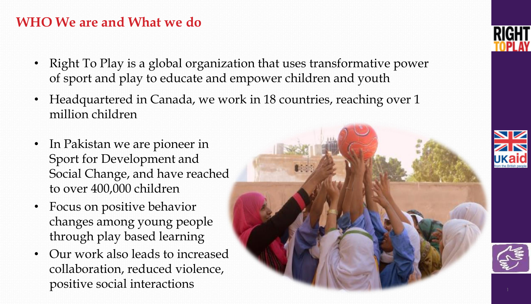#### **WHO We are and What we do**

- Right To Play is a global organization that uses transformative power of sport and play to educate and empower children and youth
- Headquartered in Canada, we work in 18 countries, reaching over 1 million children
- In Pakistan we are pioneer in Sport for Development and Social Change, and have reached to over 400,000 children
- Focus on positive behavior changes among young people through play based learning
- Our work also leads to increased collaboration, reduced violence, positive social interactions







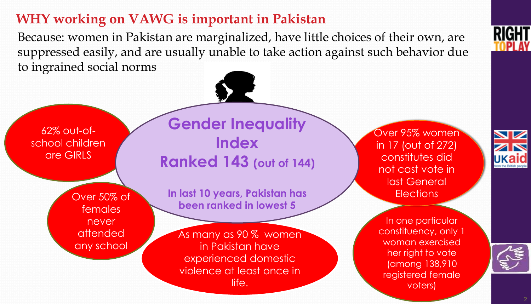### **WHY working on VAWG is important in Pakistan**

Because: women in Pakistan are marginalized, have little choices of their own, are suppressed easily, and are usually unable to take action against such behavior due to ingrained social norms

62% out-ofschool children are GIRLS

> Over 50% of females never attended any school

**Gender Inequality Index Ranked 143 (out of 144)**

**In last 10 years, Pakistan has been ranked in lowest 5**

As many as 90 % women in Pakistan have experienced domestic violence at least once in life.

Over 95% women in 17 (out of 272) constitutes did not cast vote in last General **Elections** 

In one particular constituency, only 1 woman exercised

her right to vote (among 138,910 registered female voters)

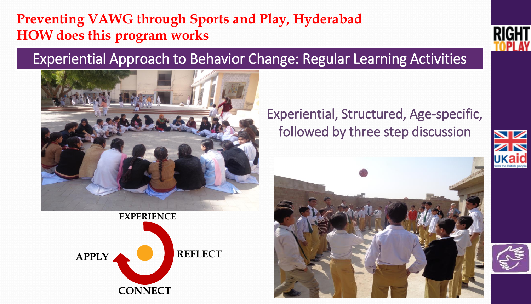### **Preventing VAWG through Sports and Play, Hyderabad HOW does this program works**

### Experiential Approach to Behavior Change: Regular Learning Activities





Experiential, Structured, Age-specific, followed by three step discussion





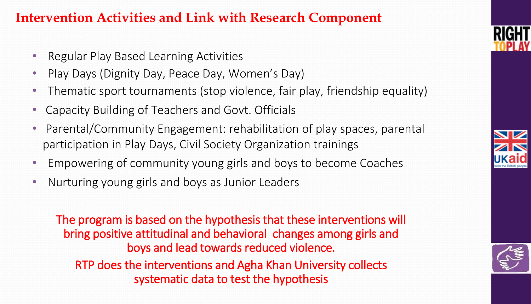### **Intervention Activities and Link with Research Component**

- Regular Play Based Learning Activities
- Play Days (Dignity Day, Peace Day, Women's Day)
- Thematic sport tournaments (stop violence, fair play, friendship equality)
- Capacity Building of Teachers and Govt. Officials
- Parental/Community Engagement: rehabilitation of play spaces, parental participation in Play Days, Civil Society Organization trainings
- Empowering of community young girls and boys to become Coaches
- Nurturing young girls and boys as Junior Leaders

The program is based on the hypothesis that these interventions will bring positive attitudinal and behavioral changes among girls and boys and lead towards reduced violence. RTP does the interventions and Agha Khan University collects systematic data to test the hypothesis





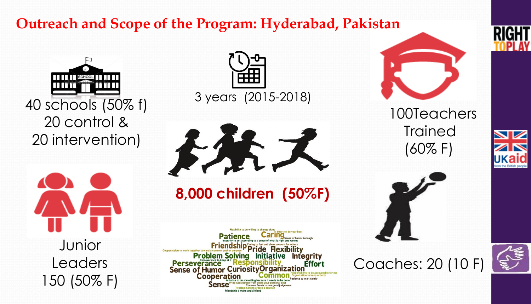# **Outreach and Scope of the Program: Hyderabad, Pakistan**



20 control & 20 intervention)



Junior Leaders 150 (50% F)



3 years (2015-2018)



**8,000 children (50%F)**

Flexibility to be willing to change plans **Patience** Caring Friendship Caring to feel and show concern for others Problem Solving Initiative Integrity<br>Perseverance Responsibility Effort<br>Sense of Humor Curiosity Organization **Effort Cooperation** 



100Teachers **Trained** (60% F)